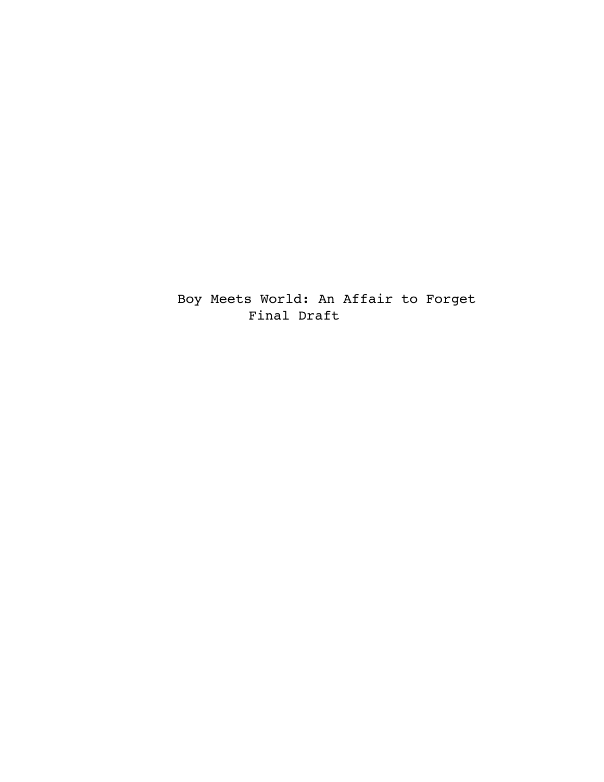Boy Meets World: An Affair to Forget Final Draft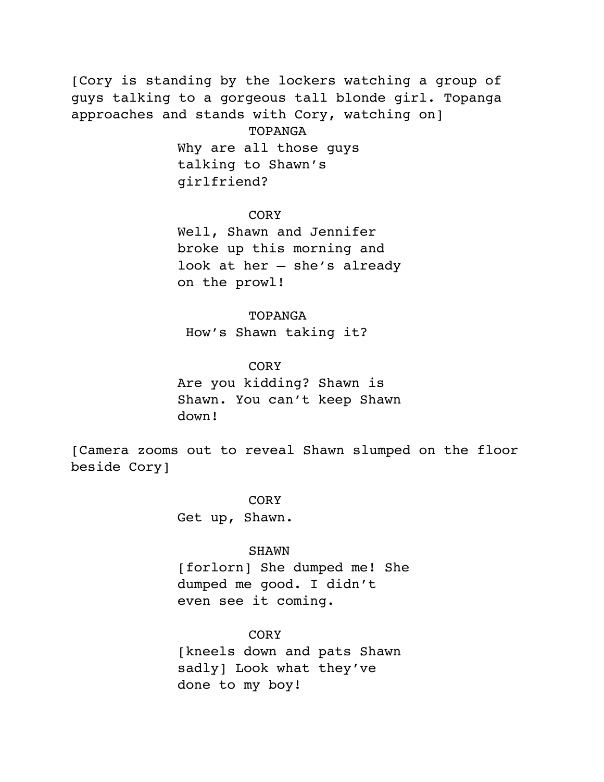[Cory is standing by the lockers watching a group of guys talking to a gorgeous tall blonde girl. Topanga approaches and stands with Cory, watching on] TOPANGA Why are all those guys talking to Shawn's girlfriend?

# **CORY**

Well, Shawn and Jennifer broke up this morning and look at her – she's already on the prowl!

### TOPANGA

How's Shawn taking it?

### CORY

Are you kidding? Shawn is Shawn. You can't keep Shawn down!

[Camera zooms out to reveal Shawn slumped on the floor beside Cory]

> CORY Get up, Shawn.

### SHAWN

[forlorn] She dumped me! She dumped me good. I didn't even see it coming.

# CORY

[kneels down and pats Shawn sadly] Look what they've done to my boy!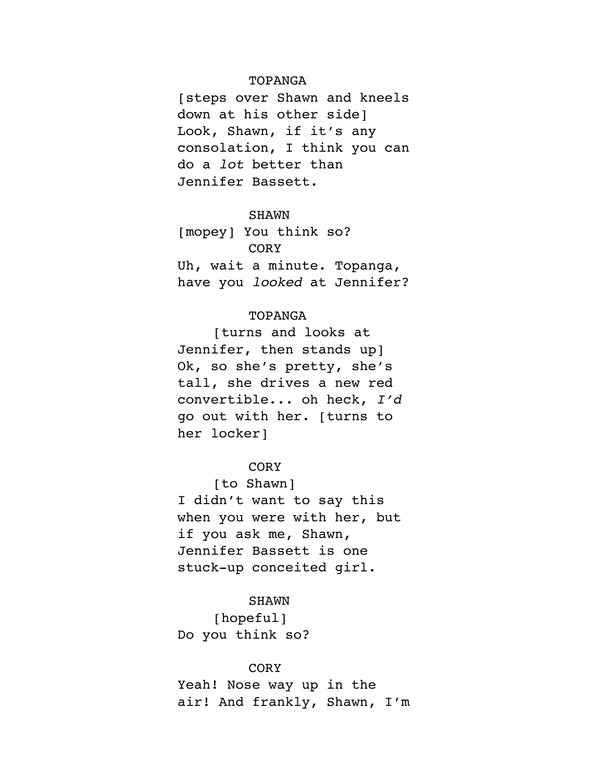### TOPANGA

[steps over Shawn and kneels down at his other side] Look, Shawn, if it's any consolation, I think you can do a *lot* better than Jennifer Bassett.

### SHAWN

[mopey] You think so? CORY Uh, wait a minute. Topanga, have you *looked* at Jennifer?

# TOPANGA

[turns and looks at Jennifer, then stands upl Ok, so she's pretty, she's tall, she drives a new red convertible... oh heck, *I'd* go out with her. [turns to her locker]

# **CORY**

[to Shawn] I didn't want to say this when you were with her, but if you ask me, Shawn, Jennifer Bassett is one stuck-up conceited girl.

#### SHAWN

[hopeful] Do you think so?

## **CORY**

Yeah! Nose way up in the air! And frankly, Shawn, I'm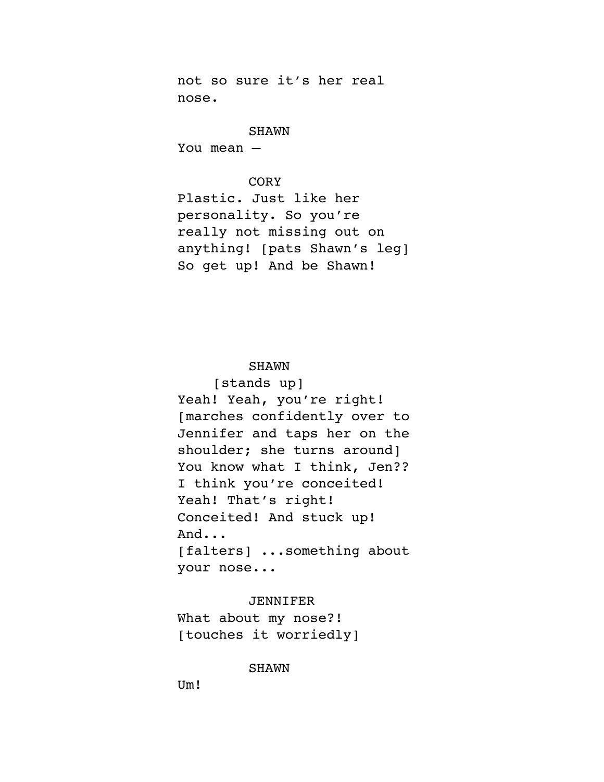not so sure it's her real nose.

# SHAWN

You mean –

# **CORY**

Plastic. Just like her personality. So you're really not missing out on anything! [pats Shawn's leg] So get up! And be Shawn!

# SHAWN

[stands up] Yeah! Yeah, you're right! [marches confidently over to Jennifer and taps her on the shoulder; she turns around] You know what I think, Jen?? I think you're conceited! Yeah! That's right! Conceited! And stuck up! And... [falters] ...something about your nose...

### JENNIFER

What about my nose?! [touches it worriedly]

## SHAWN

Um!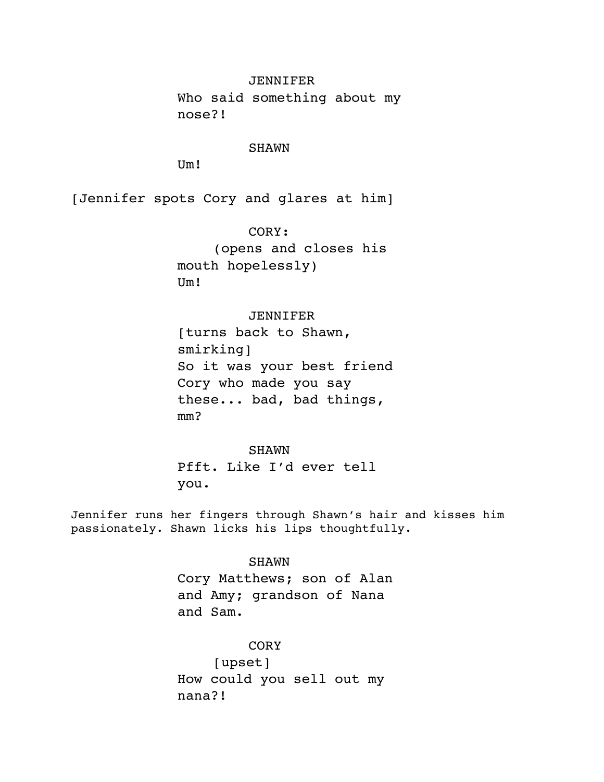## JENNIFER

Who said something about my nose?!

### SHAWN

Um!

[Jennifer spots Cory and glares at him]

CORY: (opens and closes his mouth hopelessly) Um!

# JENNIFER

[turns back to Shawn, smirking] So it was your best friend Cory who made you say these... bad, bad things, mm?

#### SHAWN

Pfft. Like I'd ever tell you.

Jennifer runs her fingers through Shawn's hair and kisses him passionately. Shawn licks his lips thoughtfully.

# SHAWN

Cory Matthews; son of Alan and Amy; grandson of Nana and Sam.

### CORY

[upset] How could you sell out my nana?!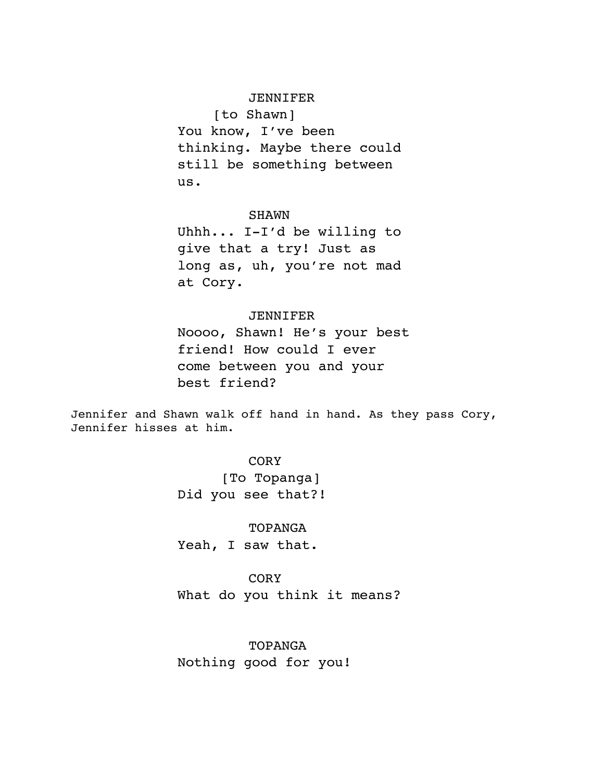# JENNIFER

[to Shawn] You know, I've been thinking. Maybe there could still be something between us.

#### SHAWN

Uhhh... I-I'd be willing to give that a try! Just as long as, uh, you're not mad at Cory.

# JENNIFER

Noooo, Shawn! He's your best friend! How could I ever come between you and your best friend?

Jennifer and Shawn walk off hand in hand. As they pass Cory, Jennifer hisses at him.

### **CORY**

 [To Topanga] Did you see that?!

# TOPANGA Yeah, I saw that.

**CORY** What do you think it means?

TOPANGA Nothing good for you!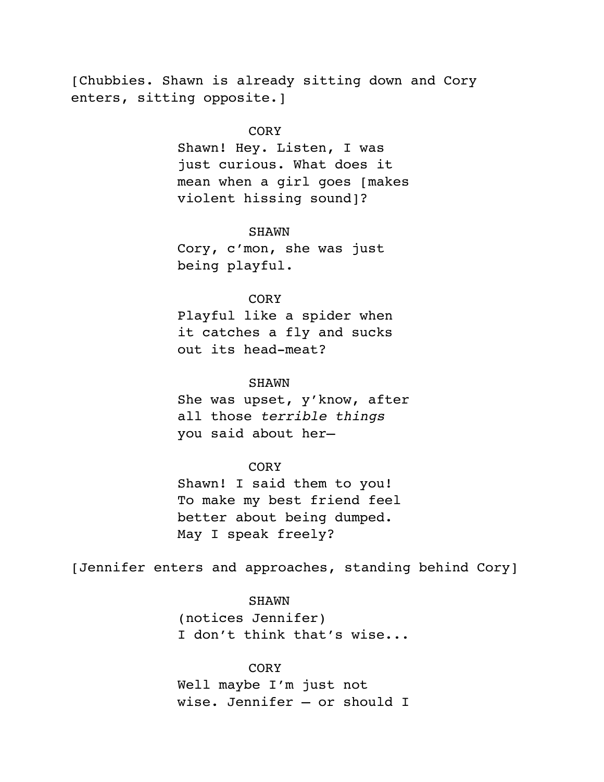[Chubbies. Shawn is already sitting down and Cory enters, sitting opposite.]

# **CORY**

Shawn! Hey. Listen, I was just curious. What does it mean when a girl goes [makes violent hissing sound]?

#### SHAWN

Cory, c'mon, she was just being playful.

# **CORY**

Playful like a spider when it catches a fly and sucks out its head-meat?

### SHAWN

She was upset, y'know, after all those *terrible things* you said about her—

# **CORY**

Shawn! I said them to you! To make my best friend feel better about being dumped. May I speak freely?

[Jennifer enters and approaches, standing behind Cory]

# SHAWN

(notices Jennifer) I don't think that's wise...

### **CORY**

Well maybe I'm just not wise. Jennifer – or should I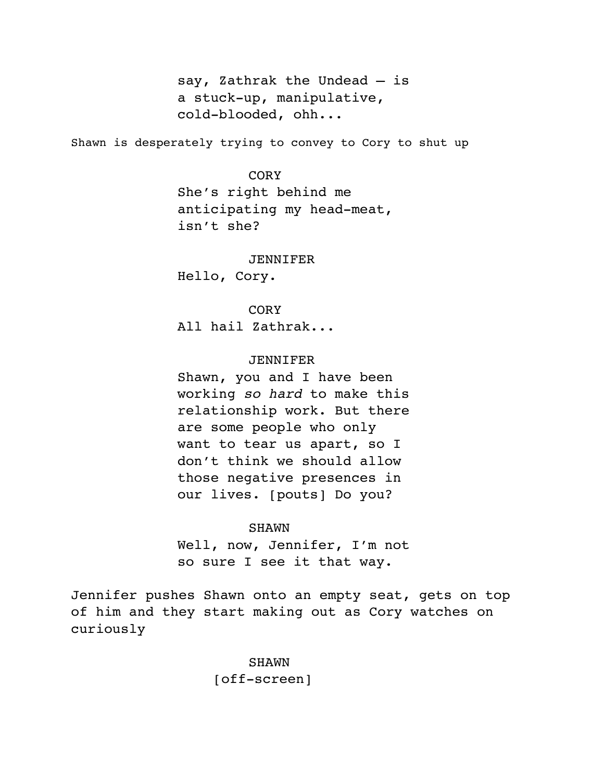say, Zathrak the Undead – is a stuck-up, manipulative, cold-blooded, ohh...

Shawn is desperately trying to convey to Cory to shut up

# CORY

She's right behind me anticipating my head-meat, isn't she?

#### JENNIFER

Hello, Cory.

### **CORY**

All hail Zathrak...

# JENNIFER

Shawn, you and I have been working *so hard* to make this relationship work. But there are some people who only want to tear us apart, so I don't think we should allow those negative presences in our lives. [pouts] Do you?

### SHAWN

Well, now, Jennifer, I'm not so sure I see it that way.

Jennifer pushes Shawn onto an empty seat, gets on top of him and they start making out as Cory watches on curiously

> SHAWN [off-screen]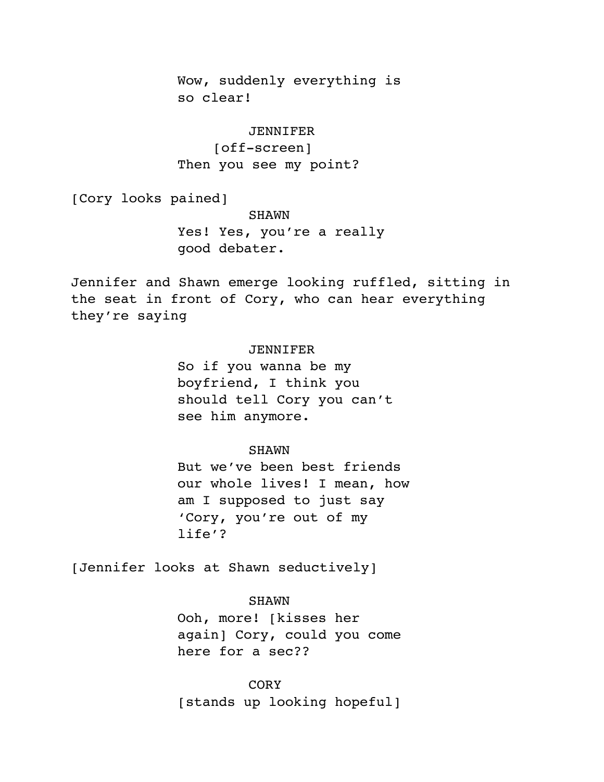Wow, suddenly everything is so clear!

# JENNIFER [off-screen] Then you see my point?

[Cory looks pained]

SHAWN Yes! Yes, you're a really good debater.

Jennifer and Shawn emerge looking ruffled, sitting in the seat in front of Cory, who can hear everything they're saying

# JENNIFER

So if you wanna be my boyfriend, I think you should tell Cory you can't see him anymore.

### SHAWN

But we've been best friends our whole lives! I mean, how am I supposed to just say 'Cory, you're out of my life'?

[Jennifer looks at Shawn seductively]

# SHAWN

Ooh, more! [kisses her again] Cory, could you come here for a sec??

**CORY** [stands up looking hopeful]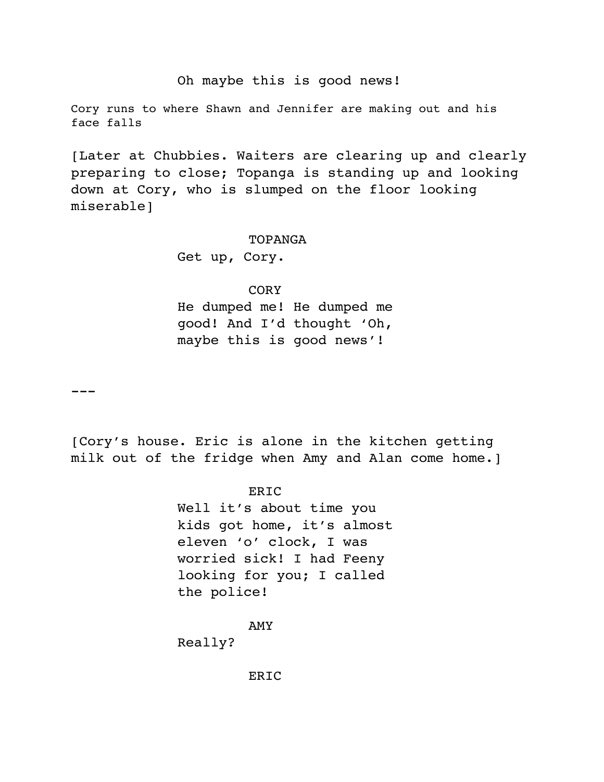# Oh maybe this is good news!

Cory runs to where Shawn and Jennifer are making out and his face falls

[Later at Chubbies. Waiters are clearing up and clearly preparing to close; Topanga is standing up and looking down at Cory, who is slumped on the floor looking miserable]

#### TOPANGA

Get up, Cory.

CORY

He dumped me! He dumped me good! And I'd thought 'Oh, maybe this is good news'!

 $---$ 

[Cory's house. Eric is alone in the kitchen getting milk out of the fridge when Amy and Alan come home.]

> **ERIC** Well it's about time you kids got home, it's almost eleven 'o' clock, I was worried sick! I had Feeny looking for you; I called the police!

> > AMY

Really?

ERIC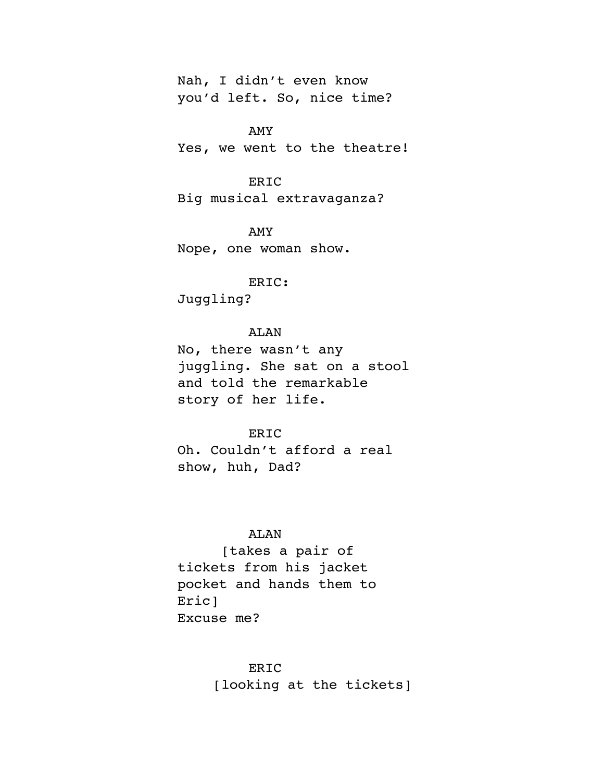Nah, I didn't even know you'd left. So, nice time?

AMY Yes, we went to the theatre!

ERIC Big musical extravaganza?

AMY Nope, one woman show.

# ERIC:

Juggling?

# ALAN

No, there wasn't any juggling. She sat on a stool and told the remarkable story of her life.

#### ERIC

Oh. Couldn't afford a real show, huh, Dad?

# ALAN

[takes a pair of tickets from his jacket pocket and hands them to Eric] Excuse me?

### ERIC

[looking at the tickets]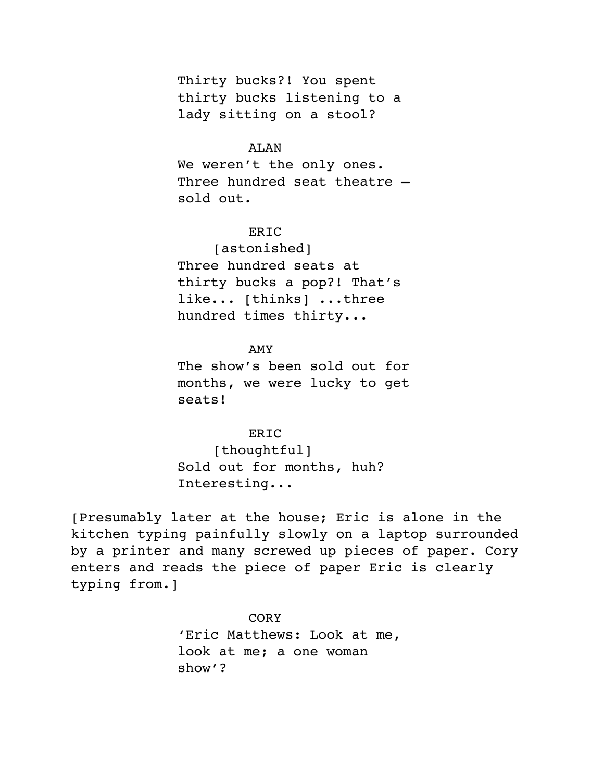Thirty bucks?! You spent thirty bucks listening to a lady sitting on a stool?

# ALAN

We weren't the only ones. Three hundred seat theatre – sold out.

# ERIC

[astonished] Three hundred seats at thirty bucks a pop?! That's like... [thinks] ...three hundred times thirty...

# AMY

The show's been sold out for months, we were lucky to get seats!

### ERIC

[thoughtful] Sold out for months, huh? Interesting...

[Presumably later at the house; Eric is alone in the kitchen typing painfully slowly on a laptop surrounded by a printer and many screwed up pieces of paper. Cory enters and reads the piece of paper Eric is clearly typing from.]

> CORY 'Eric Matthews: Look at me, look at me; a one woman show'?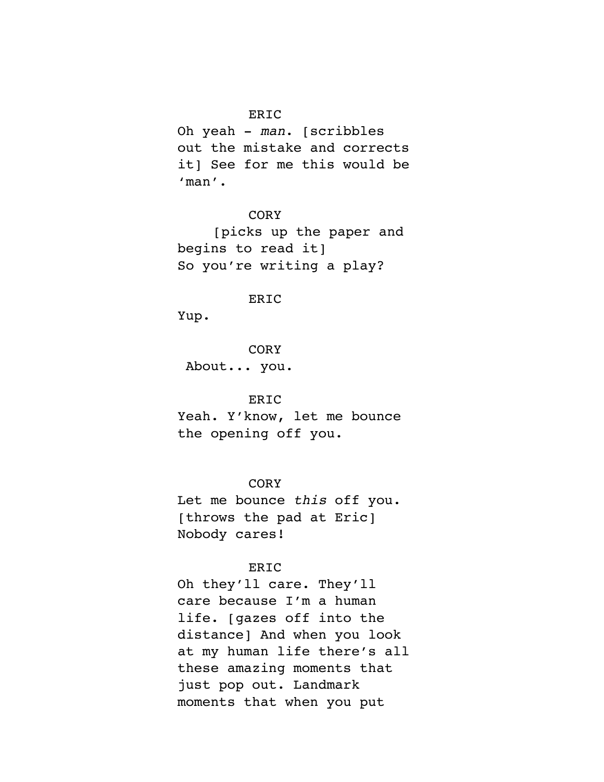# ERIC

Oh yeah - *man*. [scribbles out the mistake and corrects it] See for me this would be 'man'.

# **CORY**

[picks up the paper and begins to read it] So you're writing a play?

### ERIC

Yup.

**CORY** About... you.

# ERIC

Yeah. Y'know, let me bounce the opening off you.

**CORY** 

Let me bounce *this* off you. [throws the pad at Eric] Nobody cares!

# ERIC

Oh they'll care. They'll care because I'm a human life. [gazes off into the distance] And when you look at my human life there's all these amazing moments that just pop out. Landmark moments that when you put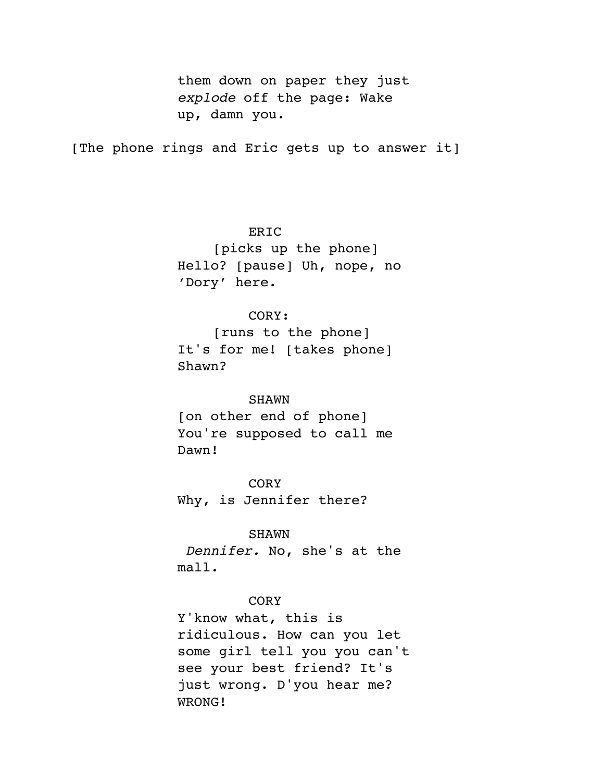them down on paper they just *explode* off the page: Wake up, damn you.

[The phone rings and Eric gets up to answer it]

ERIC [picks up the phone] Hello? [pause] Uh, nope, no 'Dory' here.

# CORY:

[runs to the phone] It's for me! [takes phone] Shawn?

#### SHAWN

[on other end of phone] You're supposed to call me Dawn!

**CORY** Why, is Jennifer there?

# SHAWN

*Dennifer.* No, she's at the mall.

# **CORY**

Y'know what, this is ridiculous. How can you let some girl tell you you can't see your best friend? It's just wrong. D'you hear me? WRONG!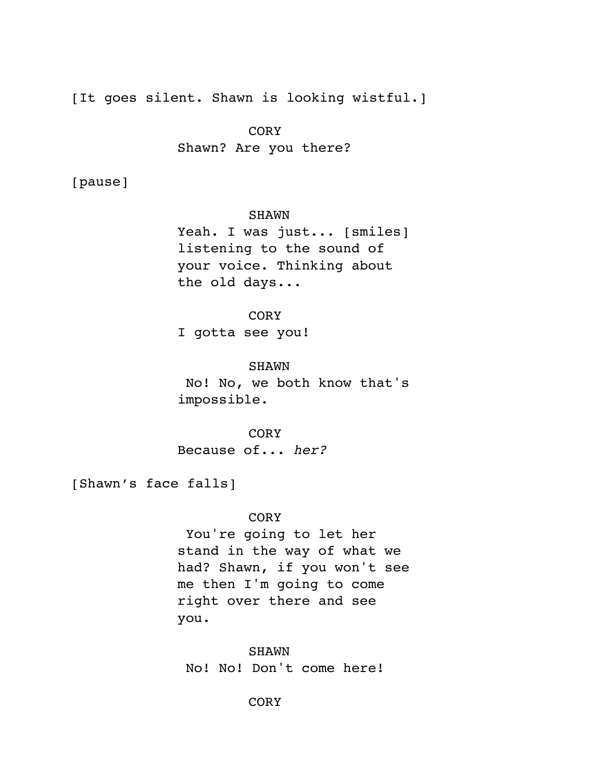[It goes silent. Shawn is looking wistful.]

**CORY** Shawn? Are you there?

[pause]

SHAWN

Yeah. I was just... [smiles] listening to the sound of your voice. Thinking about the old days...

**CORY** 

I gotta see you!

SHAWN

 No! No, we both know that's impossible.

CORY Because of... *her?*

[Shawn's face falls]

CORY

 You're going to let her stand in the way of what we had? Shawn, if you won't see me then I'm going to come right over there and see you.

SHAWN No! No! Don't come here!

**CORY**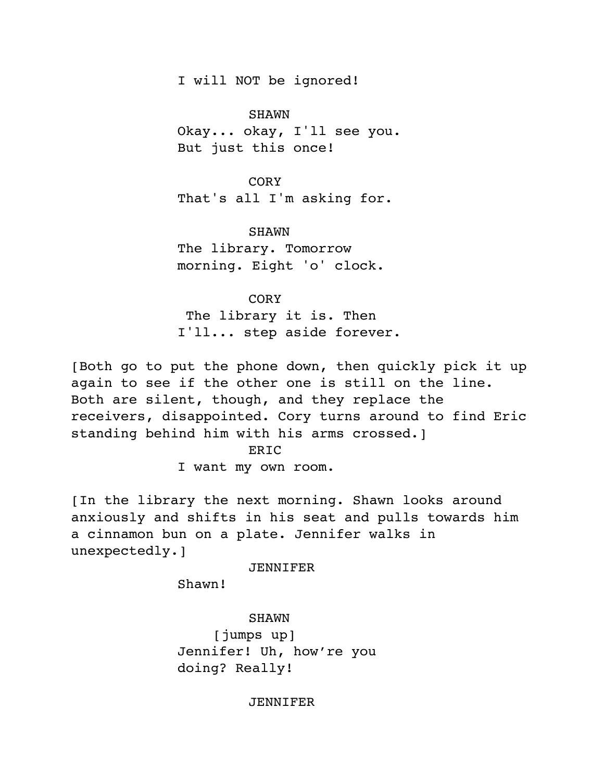I will NOT be ignored!

SHAWN

Okay... okay, I'll see you. But just this once!

CORY

That's all I'm asking for.

SHAWN

The library. Tomorrow morning. Eight 'o' clock.

**CORY** 

 The library it is. Then I'll... step aside forever.

[Both go to put the phone down, then quickly pick it up again to see if the other one is still on the line. Both are silent, though, and they replace the receivers, disappointed. Cory turns around to find Eric standing behind him with his arms crossed.]

ERIC

I want my own room.

[In the library the next morning. Shawn looks around anxiously and shifts in his seat and pulls towards him a cinnamon bun on a plate. Jennifer walks in unexpectedly.]

JENNIFER

Shawn!

SHAWN

[jumps up] Jennifer! Uh, how're you doing? Really!

### **JENNIFER**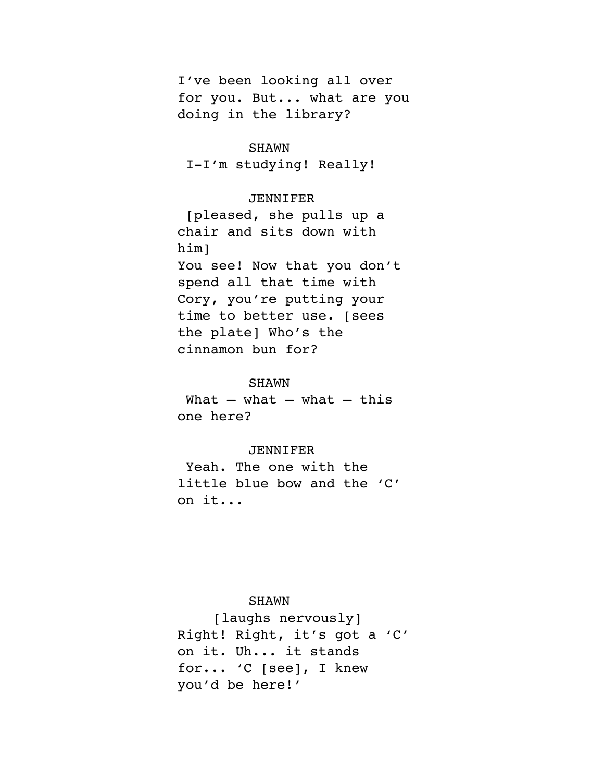I've been looking all over for you. But... what are you doing in the library?

# SHAWN

I-I'm studying! Really!

### **JENNIFER**

 [pleased, she pulls up a chair and sits down with him] You see! Now that you don't spend all that time with Cory, you're putting your time to better use. [sees the plate] Who's the cinnamon bun for?

#### SHAWN

What  $-$  what  $-$  what  $-$  this one here?

#### JENNIFER

 Yeah. The one with the little blue bow and the 'C' on it...

# SHAWN

[laughs nervously] Right! Right, it's got a 'C' on it. Uh... it stands for... 'C [see], I knew you'd be here!'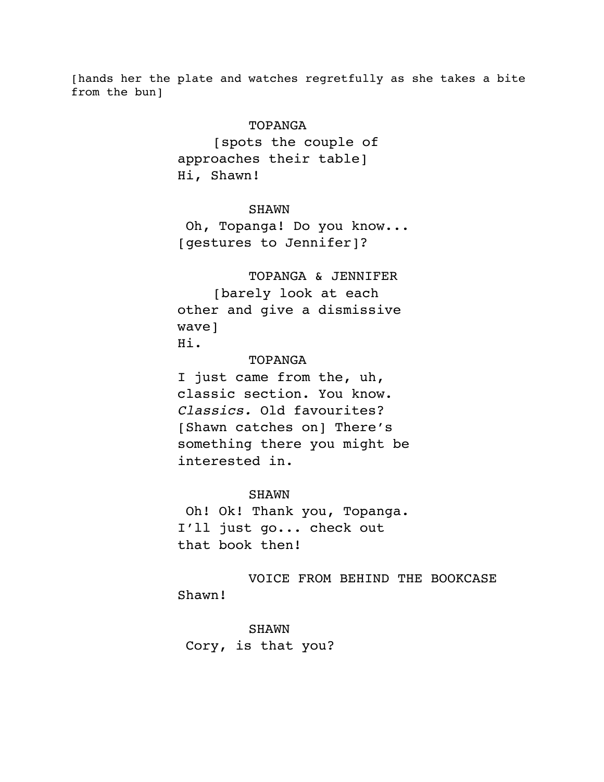[hands her the plate and watches regretfully as she takes a bite from the bun]

### TOPANGA

[spots the couple of approaches their table] Hi, Shawn!

#### SHAWN

 Oh, Topanga! Do you know... [gestures to Jennifer]?

TOPANGA & JENNIFER [barely look at each other and give a dismissive wave] Hi.

# TOPANGA

I just came from the, uh, classic section. You know. *Classics.* Old favourites? [Shawn catches on] There's something there you might be interested in.

### SHAWN

 Oh! Ok! Thank you, Topanga. I'll just go... check out that book then!

VOICE FROM BEHIND THE BOOKCASE Shawn!

SHAWN Cory, is that you?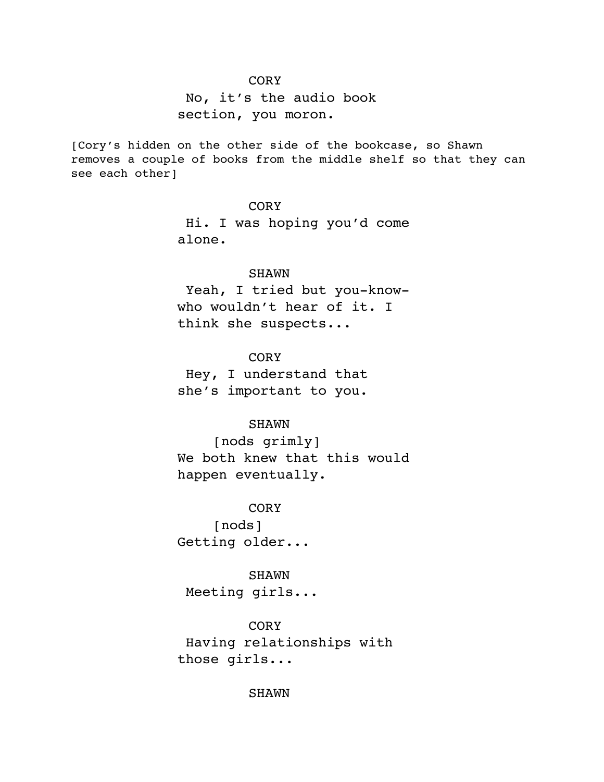# CORY

 No, it's the audio book section, you moron.

[Cory's hidden on the other side of the bookcase, so Shawn removes a couple of books from the middle shelf so that they can see each other]

# **CORY**

 Hi. I was hoping you'd come alone.

### SHAWN

 Yeah, I tried but you-knowwho wouldn't hear of it. I think she suspects...

### **CORY**

 Hey, I understand that she's important to you.

### SHAWN

[nods grimly] We both knew that this would happen eventually.

**CORY** 

[nods] Getting older...

### SHAWN

Meeting girls...

CORY Having relationships with those girls...

SHAWN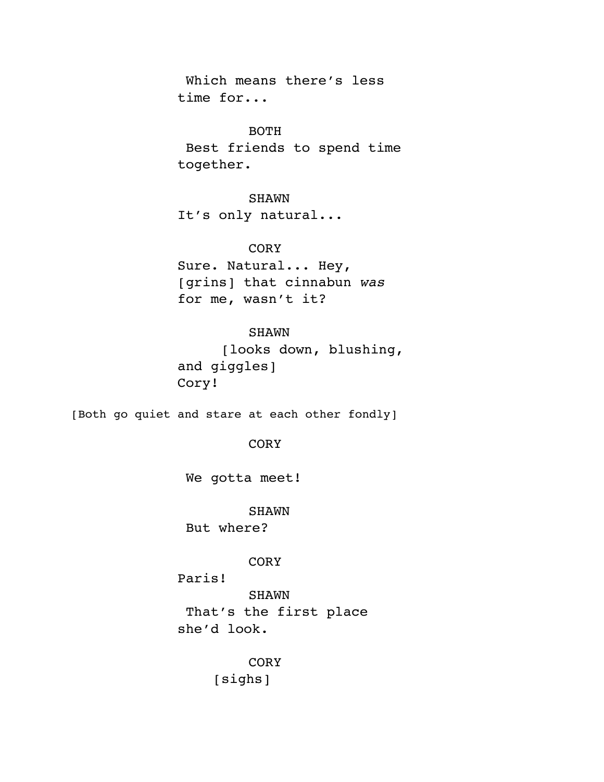Which means there's less time for...

### BOTH

 Best friends to spend time together.

# SHAWN

It's only natural...

# CORY

Sure. Natural... Hey, [grins] that cinnabun *was* for me, wasn't it?

# SHAWN

 [looks down, blushing, and giggles] Cory!

[Both go quiet and stare at each other fondly]

### CORY

We gotta meet!

### SHAWN

But where?

# CORY

Paris!

SHAWN That's the first place she'd look.

> **CORY** [sighs]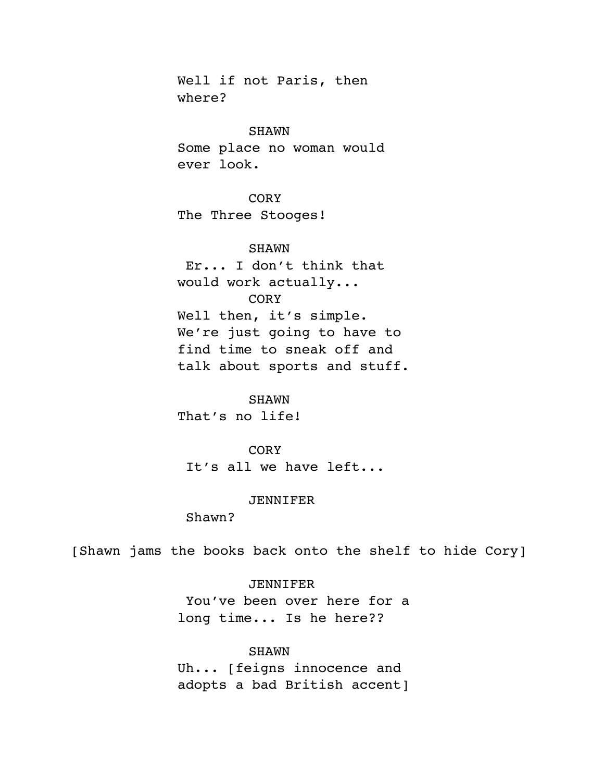Well if not Paris, then where?

#### SHAWN

Some place no woman would ever look.

# **CORY**

The Three Stooges!

# SHAWN

 Er... I don't think that would work actually... **CORY** Well then, it's simple. We're just going to have to find time to sneak off and talk about sports and stuff.

# SHAWN

That's no life!

### CORY

It's all we have left...

### JENNIFER

Shawn?

[Shawn jams the books back onto the shelf to hide Cory]

# JENNIFER

 You've been over here for a long time... Is he here??

# SHAWN

Uh... [feigns innocence and adopts a bad British accent]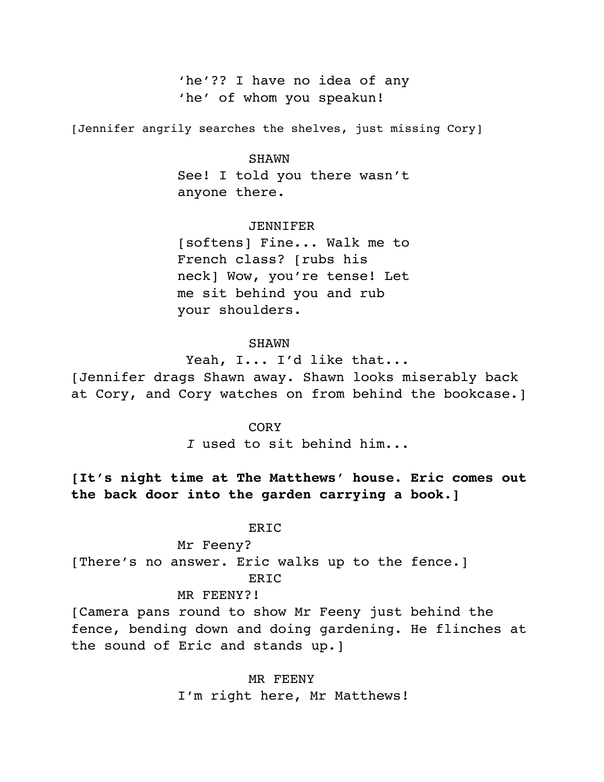'he'?? I have no idea of any 'he' of whom you speakun!

[Jennifer angrily searches the shelves, just missing Cory]

#### SHAWN

See! I told you there wasn't anyone there.

#### JENNIFER

[softens] Fine... Walk me to French class? [rubs his neck] Wow, you're tense! Let me sit behind you and rub your shoulders.

### SHAWN

 Yeah, I... I'd like that... [Jennifer drags Shawn away. Shawn looks miserably back at Cory, and Cory watches on from behind the bookcase.]

#### CORY

*I* used to sit behind him...

**[It's night time at The Matthews' house. Eric comes out the back door into the garden carrying a book.]**

#### ERIC

Mr Feeny? [There's no answer. Eric walks up to the fence.] ERIC

#### MR FEENY?!

[Camera pans round to show Mr Feeny just behind the fence, bending down and doing gardening. He flinches at the sound of Eric and stands up.]

> MR FEENY I'm right here, Mr Matthews!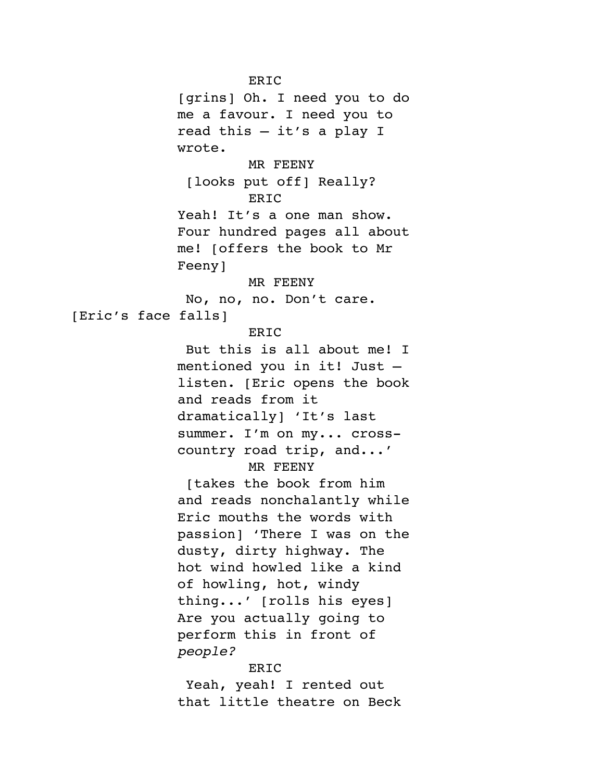ERIC [grins] Oh. I need you to do me a favour. I need you to read this – it's a play I wrote. MR FEENY [looks put off] Really? **ERIC** Yeah! It's a one man show. Four hundred pages all about me! [offers the book to Mr Feeny] MR FEENY No, no, no. Don't care. [Eric's face falls] ERIC But this is all about me! I mentioned you in it! Just – listen. [Eric opens the book and reads from it dramatically] 'It's last summer. I'm on my... crosscountry road trip, and...' MR FEENY [takes the book from him and reads nonchalantly while Eric mouths the words with passion] 'There I was on the dusty, dirty highway. The hot wind howled like a kind of howling, hot, windy thing...' [rolls his eyes] Are you actually going to perform this in front of *people?* ERIC Yeah, yeah! I rented out

that little theatre on Beck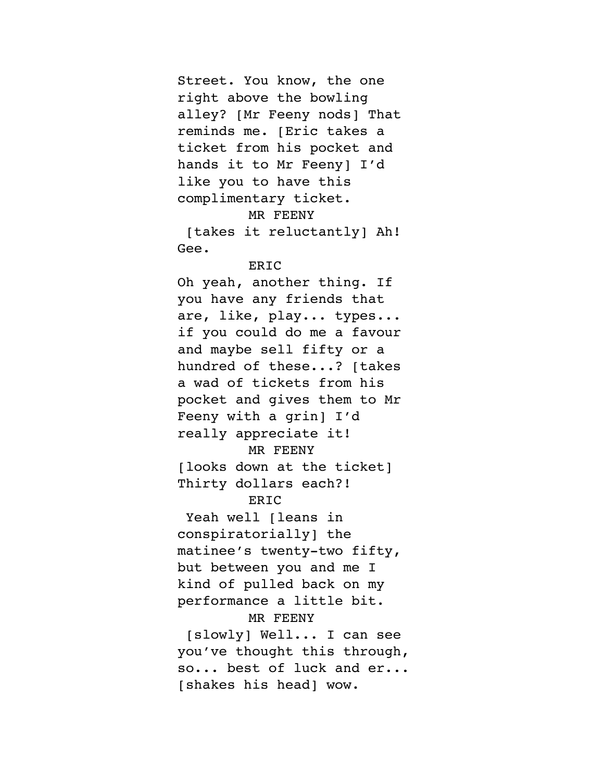Street. You know, the one right above the bowling alley? [Mr Feeny nods] That reminds me. [Eric takes a ticket from his pocket and hands it to Mr Feeny] I'd like you to have this complimentary ticket.

### MR FEENY

 [takes it reluctantly] Ah! Gee.

### ERIC

Oh yeah, another thing. If you have any friends that are, like, play... types... if you could do me a favour and maybe sell fifty or a hundred of these...? [takes a wad of tickets from his pocket and gives them to Mr Feeny with a grin] I'd really appreciate it! MR FEENY

[looks down at the ticket] Thirty dollars each?!

# ERIC

Yeah well [leans in conspiratorially] the matinee's twenty-two fifty, but between you and me I kind of pulled back on my performance a little bit.

### MR FEENY

 [slowly] Well... I can see you've thought this through, so... best of luck and er... [shakes his head] wow.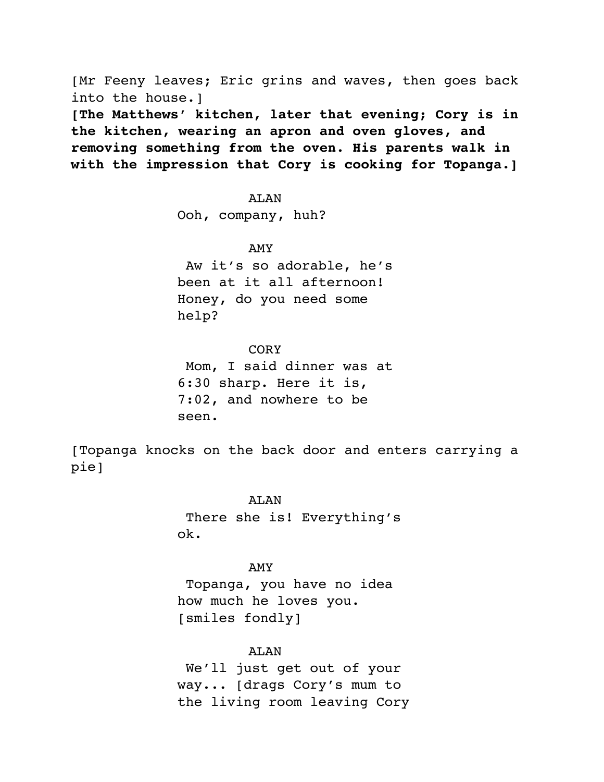[Mr Feeny leaves; Eric grins and waves, then goes back into the house.] **[The Matthews' kitchen, later that evening; Cory is in the kitchen, wearing an apron and oven gloves, and removing something from the oven. His parents walk in with the impression that Cory is cooking for Topanga.]**

#### AT.AN

Ooh, company, huh?

### AMY

 Aw it's so adorable, he's been at it all afternoon! Honey, do you need some help?

# **CORY**

 Mom, I said dinner was at 6:30 sharp. Here it is, 7:02, and nowhere to be seen.

[Topanga knocks on the back door and enters carrying a pie]

> ALAN There she is! Everything's ok.

### AMY

 Topanga, you have no idea how much he loves you. [smiles fondly]

ALAN

 We'll just get out of your way... [drags Cory's mum to the living room leaving Cory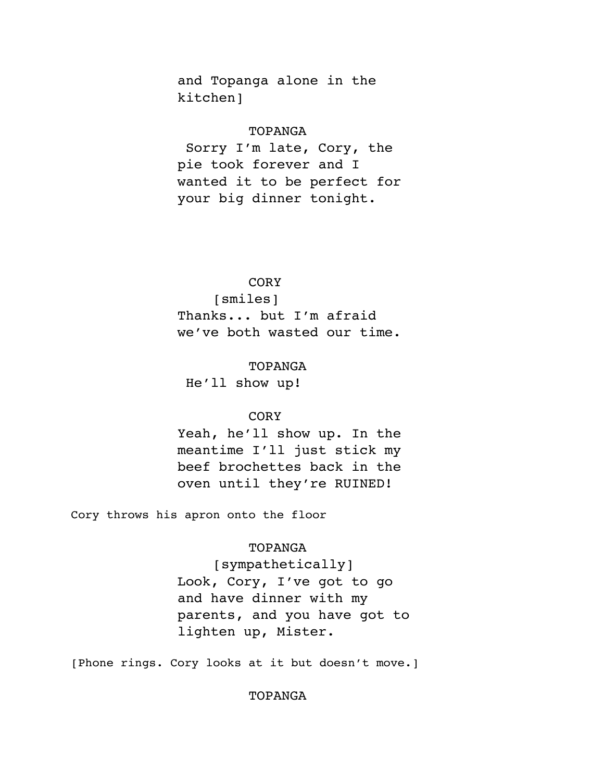and Topanga alone in the kitchen]

### TOPANGA

 Sorry I'm late, Cory, the pie took forever and I wanted it to be perfect for your big dinner tonight.

# CORY

[smiles] Thanks... but I'm afraid we've both wasted our time.

# TOPANGA

He'll show up!

### CORY

Yeah, he'll show up. In the meantime I'll just stick my beef brochettes back in the oven until they're RUINED!

Cory throws his apron onto the floor

### TOPANGA

[sympathetically] Look, Cory, I've got to go and have dinner with my parents, and you have got to lighten up, Mister.

[Phone rings. Cory looks at it but doesn't move.]

### TOPANGA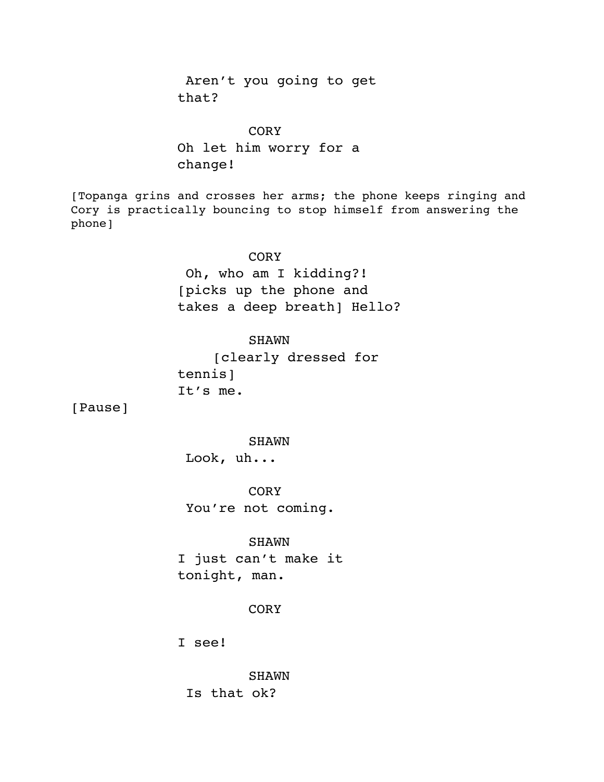Aren't you going to get that?

# **CORY**

Oh let him worry for a change!

[Topanga grins and crosses her arms; the phone keeps ringing and Cory is practically bouncing to stop himself from answering the phone]

### **CORY**

 Oh, who am I kidding?! [picks up the phone and takes a deep breath] Hello?

SHAWN

[clearly dressed for tennis] It's me.

[Pause]

SHAWN

Look, uh...

**CORY** You're not coming.

### SHAWN

I just can't make it tonight, man.

# **CORY**

I see!

SHAWN Is that ok?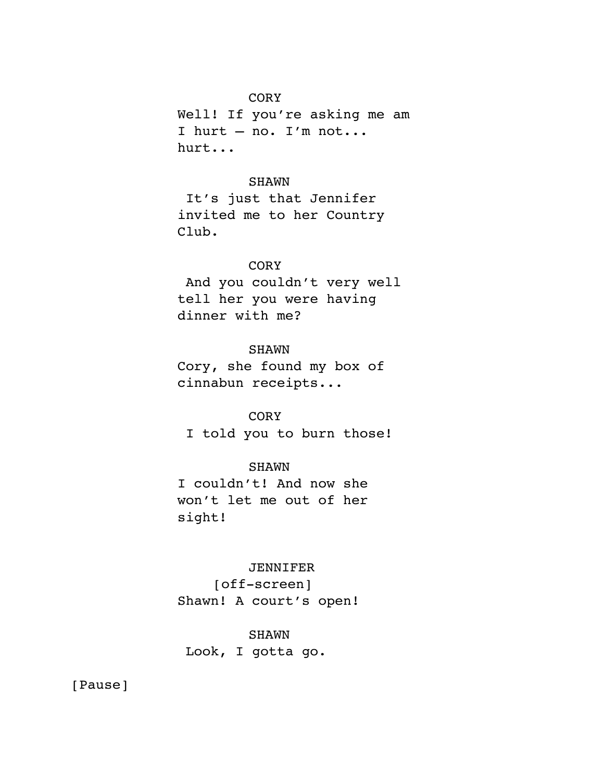# CORY

Well! If you're asking me am I hurt – no. I'm not... hurt...

# SHAWN

 It's just that Jennifer invited me to her Country Club.

# **CORY**

 And you couldn't very well tell her you were having dinner with me?

# **SHAWN**

Cory, she found my box of cinnabun receipts...

# CORY

I told you to burn those!

# SHAWN

I couldn't! And now she won't let me out of her sight!

# JENNIFER

[off-screen] Shawn! A court's open!

# SHAWN

Look, I gotta go.

[Pause]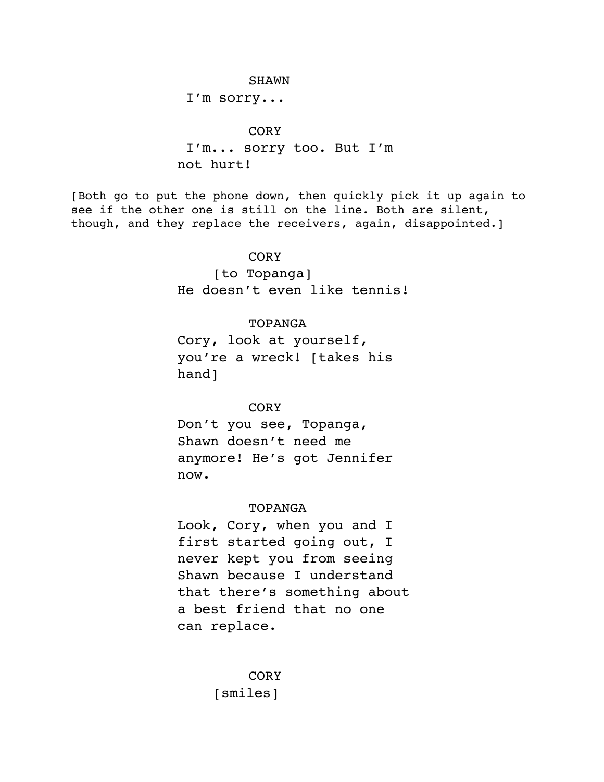#### SHAWN

I'm sorry...

### **CORY**

 I'm... sorry too. But I'm not hurt!

[Both go to put the phone down, then quickly pick it up again to see if the other one is still on the line. Both are silent, though, and they replace the receivers, again, disappointed.]

#### **CORY**

[to Topanga] He doesn't even like tennis!

#### TOPANGA

Cory, look at yourself, you're a wreck! [takes his hand]

### **CORY**

Don't you see, Topanga, Shawn doesn't need me anymore! He's got Jennifer now.

#### TOPANGA

Look, Cory, when you and I first started going out, I never kept you from seeing Shawn because I understand that there's something about a best friend that no one can replace.

> CORY [smiles]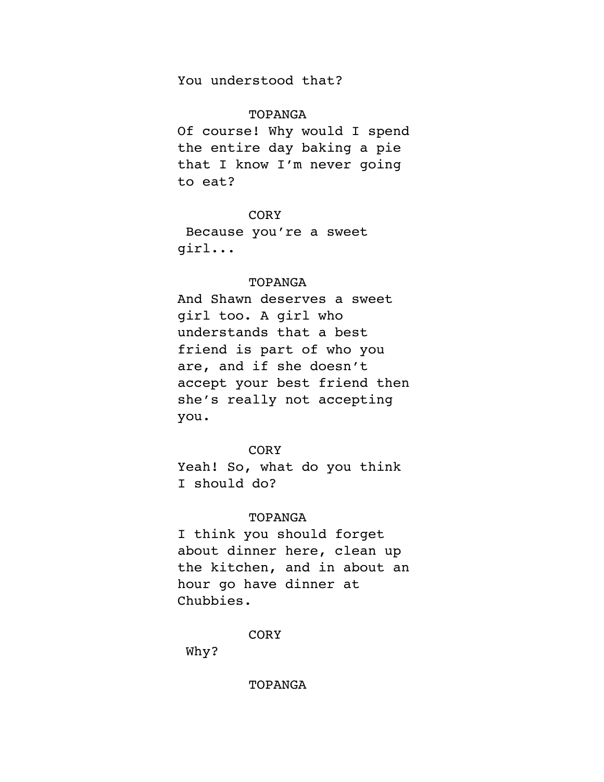You understood that?

# TOPANGA

Of course! Why would I spend the entire day baking a pie that I know I'm never going to eat?

## CORY

 Because you're a sweet girl...

# TOPANGA

And Shawn deserves a sweet girl too. A girl who understands that a best friend is part of who you are, and if she doesn't accept your best friend then she's really not accepting you.

### **CORY**

Yeah! So, what do you think I should do?

### TOPANGA

I think you should forget about dinner here, clean up the kitchen, and in about an hour go have dinner at Chubbies.

CORY

Why?

TOPANGA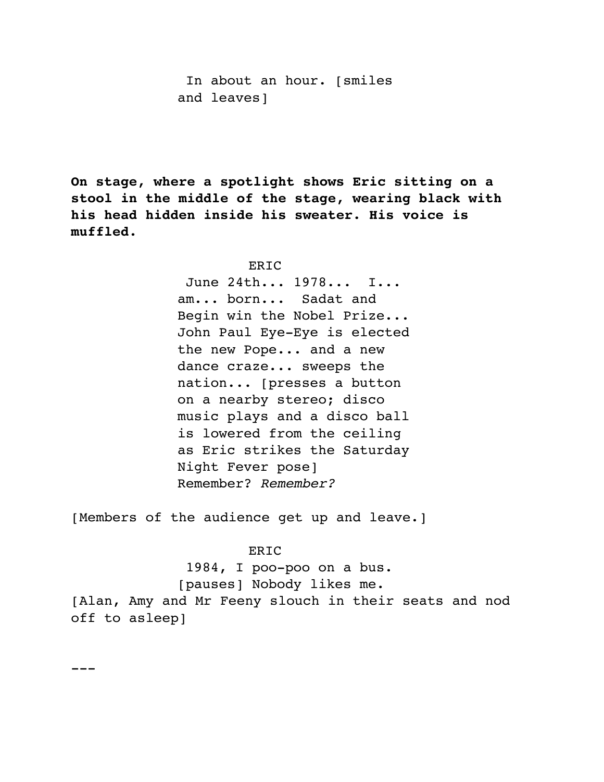In about an hour. [smiles and leaves]

**On stage, where a spotlight shows Eric sitting on a stool in the middle of the stage, wearing black with his head hidden inside his sweater. His voice is muffled.**

#### ERIC

 June 24th... 1978... I... am... born... Sadat and Begin win the Nobel Prize... John Paul Eye-Eye is elected the new Pope... and a new dance craze... sweeps the nation... [presses a button on a nearby stereo; disco music plays and a disco ball is lowered from the ceiling as Eric strikes the Saturday Night Fever pose] Remember? *Remember?*

[Members of the audience get up and leave.]

#### **ERIC**

 1984, I poo-poo on a bus. [pauses] Nobody likes me.

[Alan, Amy and Mr Feeny slouch in their seats and nod off to asleep]

---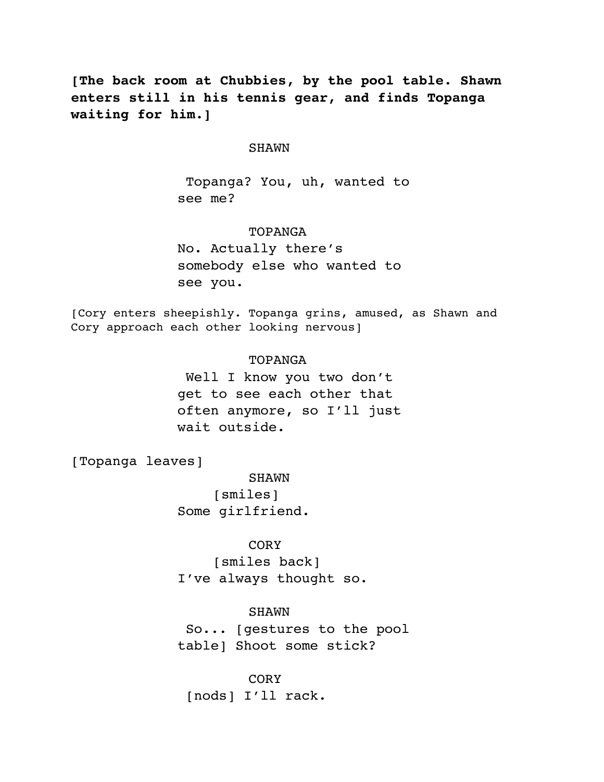**[The back room at Chubbies, by the pool table. Shawn enters still in his tennis gear, and finds Topanga waiting for him.]**

#### SHAWN

 Topanga? You, uh, wanted to see me?

### TOPANGA

No. Actually there's somebody else who wanted to see you.

[Cory enters sheepishly. Topanga grins, amused, as Shawn and Cory approach each other looking nervous]

### TOPANGA

 Well I know you two don't get to see each other that often anymore, so I'll just wait outside.

[Topanga leaves]

SHAWN [smiles] Some girlfriend.

# **CORY**

[smiles back] I've always thought so.

### SHAWN

 So... [gestures to the pool table] Shoot some stick?

CORY [nods] I'll rack.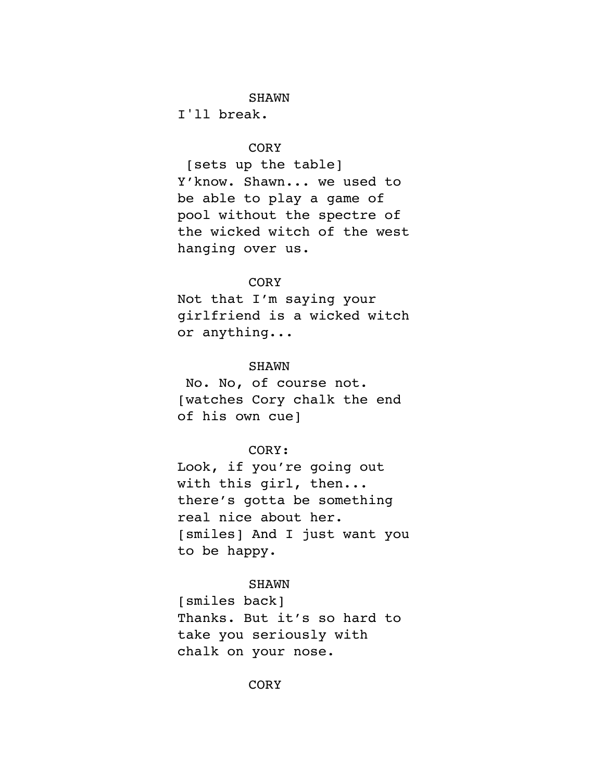# **SHAWN**

I'll break.

# **CORY**

 [sets up the table] Y'know. Shawn... we used to be able to play a game of pool without the spectre of the wicked witch of the west hanging over us.

# **CORY**

Not that I'm saying your girlfriend is a wicked witch or anything...

# SHAWN

 No. No, of course not. [watches Cory chalk the end of his own cue]

### CORY:

Look, if you're going out with this girl, then... there's gotta be something real nice about her. [smiles] And I just want you to be happy.

#### SHAWN

[smiles back] Thanks. But it's so hard to take you seriously with chalk on your nose.

# CORY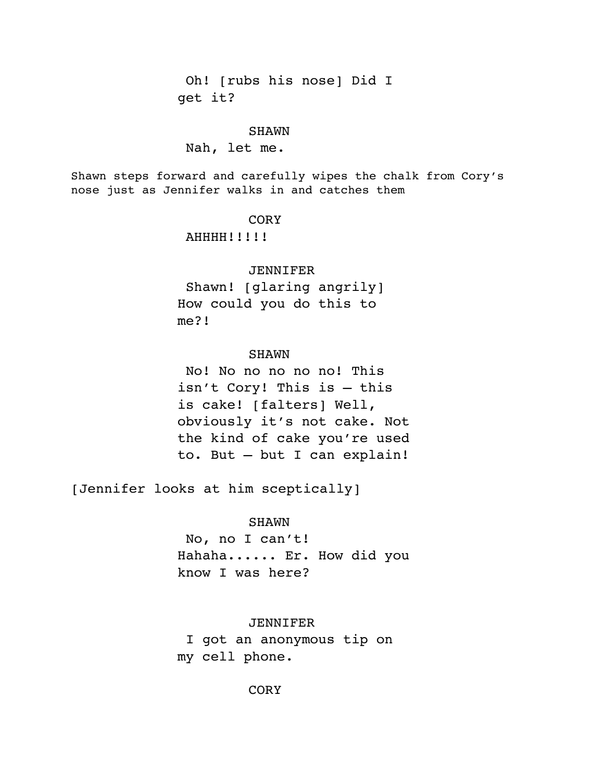Oh! [rubs his nose] Did I get it?

#### SHAWN

#### Nah, let me.

Shawn steps forward and carefully wipes the chalk from Cory's nose just as Jennifer walks in and catches them

# **CORY**

AHHHH!!!!!

#### JENNIFER

 Shawn! [glaring angrily] How could you do this to me?!

#### SHAWN

 No! No no no no no! This isn't Cory! This is – this is cake! [falters] Well, obviously it's not cake. Not the kind of cake you're used to. But – but I can explain!

[Jennifer looks at him sceptically]

### SHAWN

 No, no I can't! Hahaha...... Er. How did you know I was here?

JENNIFER I got an anonymous tip on my cell phone.

**CORY**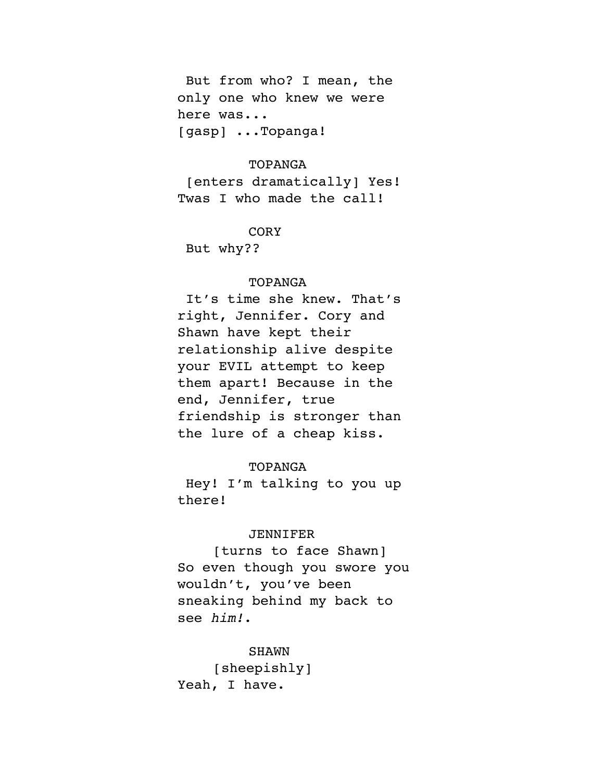But from who? I mean, the only one who knew we were here was... [gasp] ...Topanga!

### TOPANGA

 [enters dramatically] Yes! Twas I who made the call!

CORY

But why??

## TOPANGA

 It's time she knew. That's right, Jennifer. Cory and Shawn have kept their relationship alive despite your EVIL attempt to keep them apart! Because in the end, Jennifer, true friendship is stronger than the lure of a cheap kiss.

# TOPANGA

 Hey! I'm talking to you up there!

### JENNIFER

[turns to face Shawn] So even though you swore you wouldn't, you've been sneaking behind my back to see *him!*.

SHAWN [sheepishly] Yeah, I have.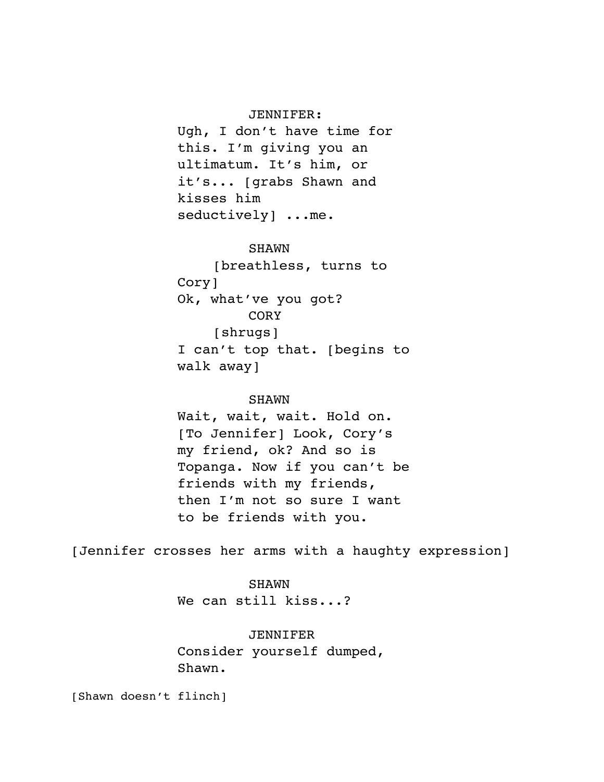#### JENNIFER:

Ugh, I don't have time for this. I'm giving you an ultimatum. It's him, or it's... [grabs Shawn and kisses him seductively] ...me.

### SHAWN

[breathless, turns to Cory] Ok, what've you got? **CORY** [shrugs] I can't top that. [begins to walk away]

### SHAWN

Wait, wait, wait. Hold on. [To Jennifer] Look, Cory's my friend, ok? And so is Topanga. Now if you can't be friends with my friends, then I'm not so sure I want to be friends with you.

[Jennifer crosses her arms with a haughty expression]

SHAWN We can still kiss...?

# JENNIFER

Consider yourself dumped, Shawn.

[Shawn doesn't flinch]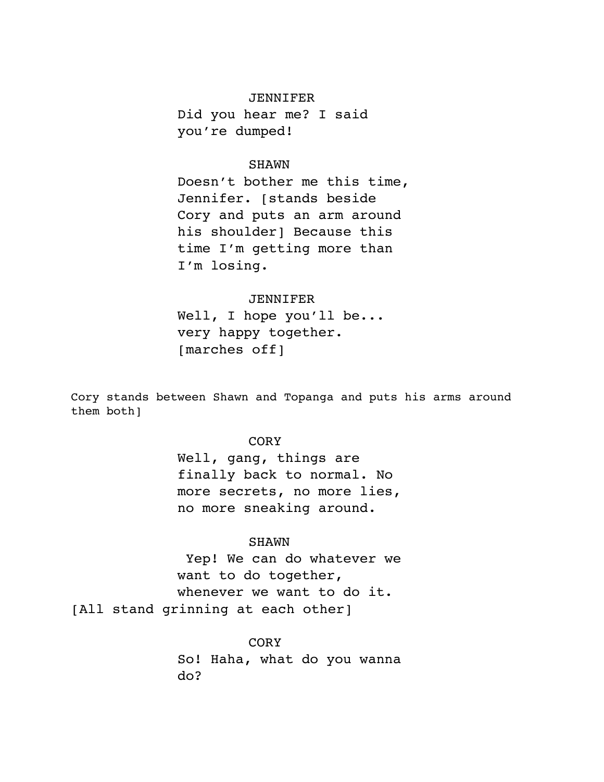#### JENNIFER

Did you hear me? I said you're dumped!

### SHAWN

Doesn't bother me this time, Jennifer. [stands beside Cory and puts an arm around his shoulder] Because this time I'm getting more than I'm losing.

### JENNIFER

Well, I hope you'll be... very happy together. [marches off]

Cory stands between Shawn and Topanga and puts his arms around them both]

# **CORY**

Well, gang, things are finally back to normal. No more secrets, no more lies, no more sneaking around.

#### SHAWN

 Yep! We can do whatever we want to do together, whenever we want to do it. [All stand grinning at each other]

## **CORY**

So! Haha, what do you wanna do?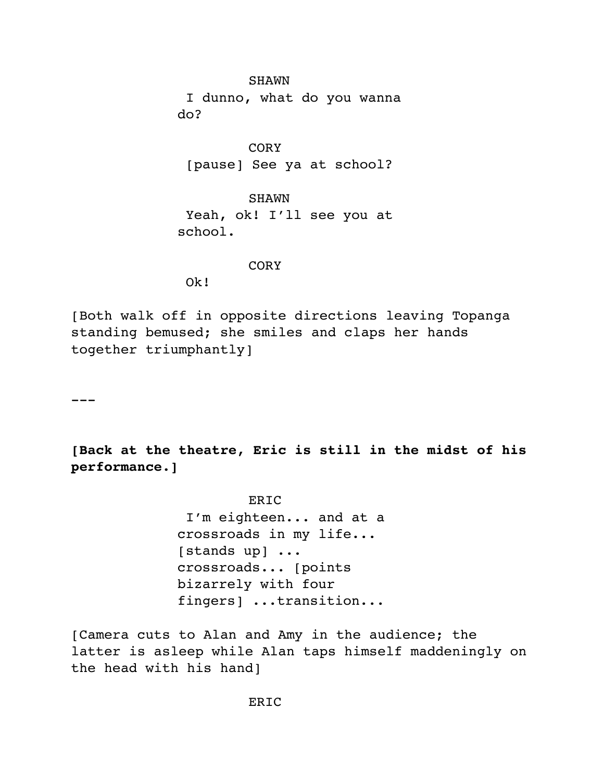SHAWN I dunno, what do you wanna do?

CORY [pause] See ya at school?

**SHAWN**  Yeah, ok! I'll see you at school.

### **CORY**

Ok!

[Both walk off in opposite directions leaving Topanga standing bemused; she smiles and claps her hands together triumphantly]

 $-$ 

**[Back at the theatre, Eric is still in the midst of his performance.]**

> ERIC I'm eighteen... and at a crossroads in my life... [stands up] ... crossroads... [points bizarrely with four fingers] ...transition...

[Camera cuts to Alan and Amy in the audience; the latter is asleep while Alan taps himself maddeningly on the head with his hand]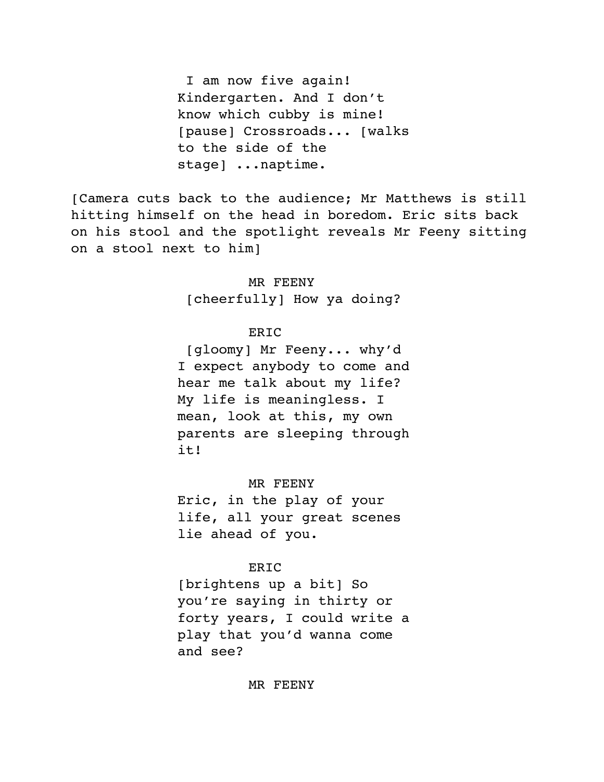I am now five again! Kindergarten. And I don't know which cubby is mine! [pause] Crossroads... [walks to the side of the stage] ...naptime.

[Camera cuts back to the audience; Mr Matthews is still hitting himself on the head in boredom. Eric sits back on his stool and the spotlight reveals Mr Feeny sitting on a stool next to him]

> MR FEENY [cheerfully] How ya doing?

# ERIC

 [gloomy] Mr Feeny... why'd I expect anybody to come and hear me talk about my life? My life is meaningless. I mean, look at this, my own parents are sleeping through it!

MR FEENY

Eric, in the play of your life, all your great scenes lie ahead of you.

### ERIC

[brightens up a bit] So you're saying in thirty or forty years, I could write a play that you'd wanna come and see?

### MR FEENY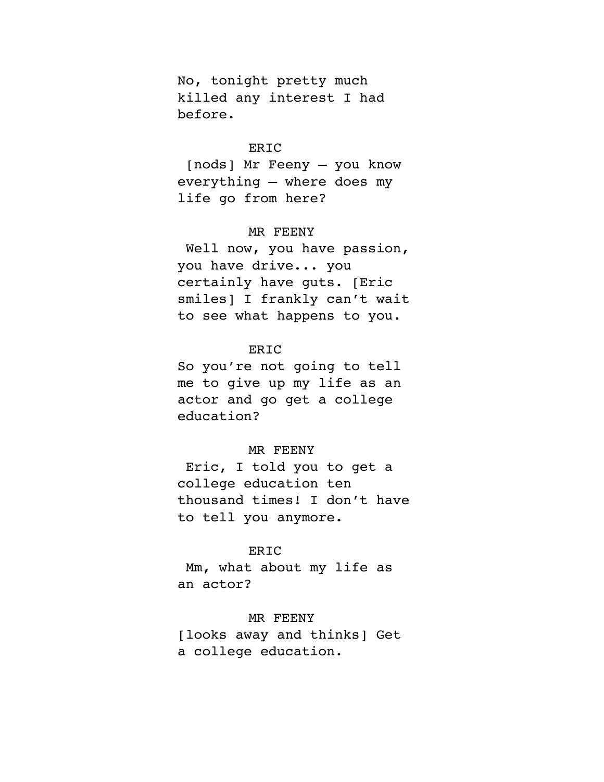No, tonight pretty much killed any interest I had before.

# ERIC

 [nods] Mr Feeny – you know everything – where does my life go from here?

### MR FEENY

 Well now, you have passion, you have drive... you certainly have guts. [Eric smiles] I frankly can't wait to see what happens to you.

# **ERIC**

So you're not going to tell me to give up my life as an actor and go get a college education?

### MR FEENY

 Eric, I told you to get a college education ten thousand times! I don't have to tell you anymore.

# **ERIC**

 Mm, what about my life as an actor?

### MR FEENY

[looks away and thinks] Get a college education.